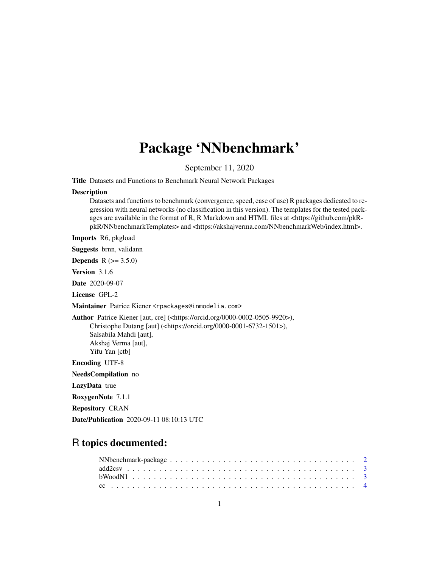# Package 'NNbenchmark'

September 11, 2020

<span id="page-0-0"></span>Title Datasets and Functions to Benchmark Neural Network Packages

#### **Description**

Datasets and functions to benchmark (convergence, speed, ease of use) R packages dedicated to regression with neural networks (no classification in this version). The templates for the tested packages are available in the format of R, R Markdown and HTML files at <https://github.com/pkRpkR/NNbenchmarkTemplates> and <https://akshajverma.com/NNbenchmarkWeb/index.html>.

Imports R6, pkgload

Suggests brnn, validann

**Depends** R  $(>= 3.5.0)$ 

Version 3.1.6

Date 2020-09-07

License GPL-2

Maintainer Patrice Kiener <rpackages@inmodelia.com>

Author Patrice Kiener [aut, cre] (<https://orcid.org/0000-0002-0505-9920>), Christophe Dutang [aut] (<https://orcid.org/0000-0001-6732-1501>), Salsabila Mahdi [aut], Akshaj Verma [aut], Yifu Yan [ctb]

Encoding UTF-8

NeedsCompilation no

LazyData true

RoxygenNote 7.1.1

Repository CRAN

Date/Publication 2020-09-11 08:10:13 UTC

# R topics documented: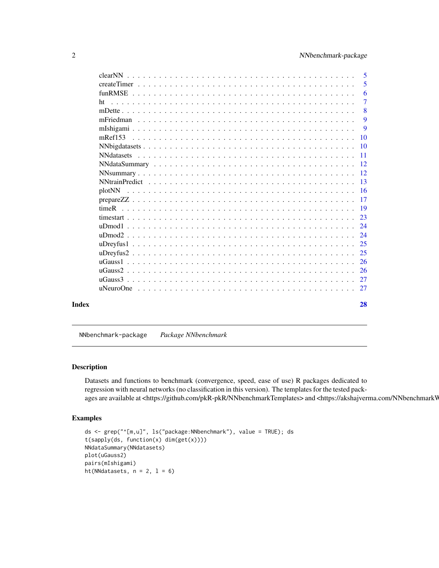<span id="page-1-0"></span>

|       |                                                                                                            | -5              |
|-------|------------------------------------------------------------------------------------------------------------|-----------------|
|       |                                                                                                            | 5               |
|       |                                                                                                            | 6               |
|       | ht                                                                                                         | $\overline{7}$  |
|       |                                                                                                            | 8               |
|       |                                                                                                            | 9               |
|       |                                                                                                            | 9               |
|       |                                                                                                            | 10              |
|       | $NNbigdatasets \ldots \ldots \ldots \ldots \ldots \ldots \ldots \ldots \ldots \ldots \ldots \ldots \ldots$ | $\overline{10}$ |
|       |                                                                                                            | -11             |
|       |                                                                                                            |                 |
|       |                                                                                                            |                 |
|       |                                                                                                            | $-13$           |
|       |                                                                                                            |                 |
|       |                                                                                                            | -17             |
|       |                                                                                                            | - 19            |
|       |                                                                                                            | 23              |
|       |                                                                                                            | 24              |
|       |                                                                                                            | 24              |
|       |                                                                                                            | 25              |
|       |                                                                                                            | 25              |
|       |                                                                                                            | -26             |
|       |                                                                                                            | -26             |
|       |                                                                                                            | 27              |
|       |                                                                                                            |                 |
| Index |                                                                                                            | 28              |

NNbenchmark-package *Package NNbenchmark*

# Description

Datasets and functions to benchmark (convergence, speed, ease of use) R packages dedicated to regression with neural networks (no classification in this version). The templates for the tested packages are available at <https://github.com/pkR-pkR/NNbenchmarkTemplates> and <https://akshajverma.com/NNbenchmarkV

# Examples

```
ds <- grep("^[m,u]", ls("package:NNbenchmark"), value = TRUE); ds
t(sapply(ds, function(x) dim(get(x))))
NNdataSummary(NNdatasets)
plot(uGauss2)
pairs(mIshigami)
ht(NNdatasets, n = 2, l = 6)
```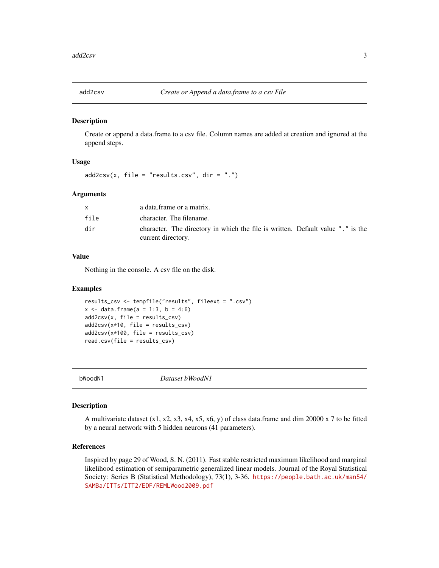<span id="page-2-0"></span>

Create or append a data.frame to a csv file. Column names are added at creation and ignored at the append steps.

# Usage

 $add2csv(x, file = "results.csv", dir = ".")$ 

#### Arguments

|      | a data.frame or a matrix.                                                                             |
|------|-------------------------------------------------------------------------------------------------------|
| file | character. The filename.                                                                              |
| dir  | character. The directory in which the file is written. Default value "." is the<br>current directory. |

### Value

Nothing in the console. A csv file on the disk.

#### Examples

```
results_csv <- tempfile("results", fileext = ".csv")
x \le - data.frame(a = 1:3, b = 4:6)
add2csv(x, file = results_csv)
add2csv(x*10, file = results_csv)
add2csv(x*100, file = results_csv)
read.csv(file = results_csv)
```

| bWoodN1 |  |
|---------|--|
|---------|--|

bWoodN1 *Dataset bWoodN1*

# Description

A multivariate dataset  $(x1, x2, x3, x4, x5, x6, y)$  of class data.frame and dim 20000 x 7 to be fitted by a neural network with 5 hidden neurons (41 parameters).

#### References

Inspired by page 29 of Wood, S. N. (2011). Fast stable restricted maximum likelihood and marginal likelihood estimation of semiparametric generalized linear models. Journal of the Royal Statistical Society: Series B (Statistical Methodology), 73(1), 3-36. [https://people.bath.ac.uk/man54/](https://people.bath.ac.uk/man54/SAMBa/ITTs/ITT2/EDF/REMLWood2009.pdf) [SAMBa/ITTs/ITT2/EDF/REMLWood2009.pdf](https://people.bath.ac.uk/man54/SAMBa/ITTs/ITT2/EDF/REMLWood2009.pdf)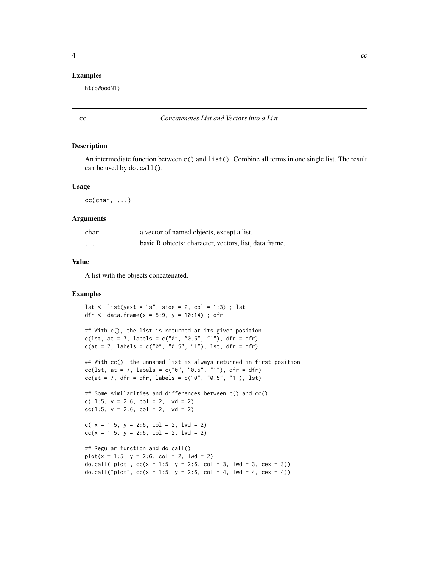#### <span id="page-3-0"></span>Examples

ht(bWoodN1)

# cc *Concatenates List and Vectors into a List*

#### Description

An intermediate function between c() and list(). Combine all terms in one single list. The result can be used by do.call().

#### Usage

 $cc(char, \ldots)$ 

#### Arguments

| char     | a vector of named objects, except a list.              |
|----------|--------------------------------------------------------|
| $\cdots$ | basic R objects: character, vectors, list, data.frame. |

# Value

A list with the objects concatenated.

#### Examples

```
lst <- list(yaxt = "s", side = 2, col = 1:3) ; lst
dfr <- data.frame(x = 5:9, y = 10:14); dfr
```

```
## With c(), the list is returned at its given position
c(lst, at = 7, labels = c("0", "0.5", "1"), dfr = dfr)
c(at = 7, labels = c("0", "0.5", "1"), lst, dfr = dfr)
```

```
## With cc(), the unnamed list is always returned in first position
cc(lst, at = 7, labels = c("0", "0.5", "1"), dfr = dfr)
cc(at = 7, dfr = dfr, labels = c("0", "0.5", "1"), Ist)
```

```
## Some similarities and differences between c() and cc()
c( 1:5, y = 2:6, col = 2, 1wd = 2)
cc(1:5, y = 2:6, col = 2, lwd = 2)
```

```
c(x = 1:5, y = 2:6, col = 2, lwd = 2)cc(x = 1:5, y = 2:6, col = 2, lwd = 2)
```
## Regular function and do.call()  $plot(x = 1:5, y = 2:6, col = 2, lwd = 2)$ do.call(  $plot$ ,  $cc(x = 1:5, y = 2:6, col = 3, lwd = 3, cex = 3))$ do.call("plot",  $cc(x = 1:5, y = 2:6, col = 4, lwd = 4, cex = 4)$ )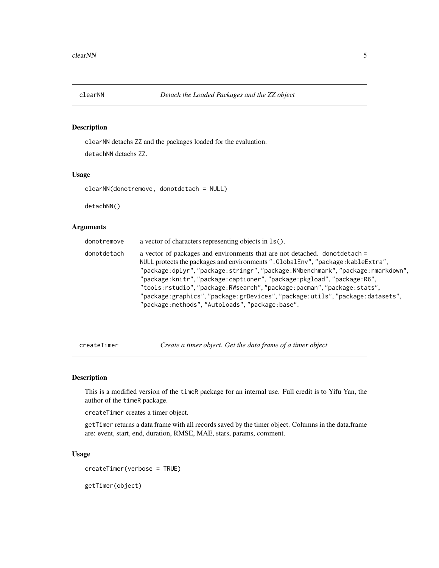<span id="page-4-0"></span>

clearNN detachs ZZ and the packages loaded for the evaluation. detachNN detachs ZZ.

# Usage

clearNN(donotremove, donotdetach = NULL)

detachNN()

#### Arguments

| donotremove | a vector of characters representing objects in 1s().                                                                                                                                                                                                                                                                                                                                                                                                                                                                         |
|-------------|------------------------------------------------------------------------------------------------------------------------------------------------------------------------------------------------------------------------------------------------------------------------------------------------------------------------------------------------------------------------------------------------------------------------------------------------------------------------------------------------------------------------------|
| donotdetach | a vector of packages and environments that are not detached. donotdetach =<br>NULL protects the packages and environments ".GlobalEnv", "package: kableExtra",<br>"package:dplyr","package:stringr","package:NNbenchmark","package:rmarkdown",<br>"package:knitr","package:captioner","package:pkgload","package:R6",<br>"tools:rstudio","package:RWsearch","package:pacman","package:stats",<br>"package:graphics","package:grDevices","package:utils","package:datasets",<br>"package:methods","Autoloads","package:base". |

createTimer *Create a timer object. Get the data frame of a timer object*

# <span id="page-4-1"></span>Description

This is a modified version of the timeR package for an internal use. Full credit is to Yifu Yan, the author of the timeR package.

createTimer creates a timer object.

getTimer returns a data frame with all records saved by the timer object. Columns in the data.frame are: event, start, end, duration, RMSE, MAE, stars, params, comment.

#### Usage

```
createTimer(verbose = TRUE)
```
getTimer(object)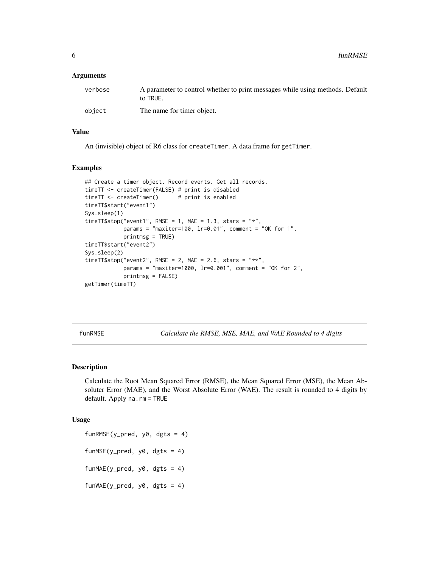<span id="page-5-0"></span>**6** funRMSE

#### Arguments

| verbose | A parameter to control whether to print messages while using methods. Default<br>to TRUE. |
|---------|-------------------------------------------------------------------------------------------|
| object  | The name for timer object.                                                                |

#### Value

An (invisible) object of R6 class for createTimer. A data.frame for getTimer.

#### Examples

```
## Create a timer object. Record events. Get all records.
timeTT <- createTimer(FALSE) # print is disabled
timeTT <- createTimer() # print is enabled
timeTT$start("event1")
Sys.sleep(1)
timeTT$stop("event1", RMSE = 1, MAE = 1.3, stars = "*",
            params = "maxiter=100, lr=0.01", comment = "OK for 1",
            printmsg = TRUE)
timeTT$start("event2")
Sys.sleep(2)
timeTT$stop("event2", RMSE = 2, MAE = 2.6, stars = "**",
            params = "maxiter=1000, lr=0.001", comment = "OK for 2",
            printmsg = FALSE)
getTimer(timeTT)
```
<span id="page-5-1"></span>funRMSE *Calculate the RMSE, MSE, MAE, and WAE Rounded to 4 digits*

# Description

Calculate the Root Mean Squared Error (RMSE), the Mean Squared Error (MSE), the Mean Absoluter Error (MAE), and the Worst Absolute Error (WAE). The result is rounded to 4 digits by default. Apply na.rm = TRUE

#### Usage

funRMSE(y\_pred,  $y0$ , dgts = 4) funMSE(y\_pred,  $y0$ , dgts = 4) funMAE(y\_pred,  $y0$ , dgts = 4) funWAE(y\_pred,  $y0$ , dgts = 4)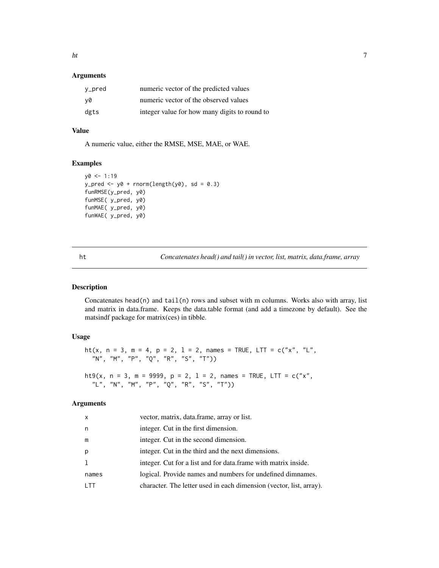#### <span id="page-6-0"></span>Arguments

| y_pred | numeric vector of the predicted values        |
|--------|-----------------------------------------------|
| v0     | numeric vector of the observed values         |
| dgts   | integer value for how many digits to round to |

# Value

A numeric value, either the RMSE, MSE, MAE, or WAE.

#### Examples

```
y0 < -1:19y_pred <- y0 + rnorm(length(y0), sd = 0.3)
funRMSE(y_pred, y0)
funMSE( y_pred, y0)
funMAE( y_pred, y0)
funWAE( y_pred, y0)
```
ht *Concatenates head() and tail() in vector, list, matrix, data.frame, array*

#### Description

Concatenates head(n) and  $tail(n)$  rows and subset with m columns. Works also with array, list and matrix in data.frame. Keeps the data.table format (and add a timezone by default). See the matsindf package for matrix(ces) in tibble.

#### Usage

```
ht(x, n = 3, m = 4, p = 2, 1 = 2, names = TRUE, LTT = c("x", "L","N", "M", "P", "Q", "R", "S", "T"))
```
ht9(x, n = 3, m = 9999, p = 2, 1 = 2, names = TRUE, LTT =  $c("x",$ "L", "N", "M", "P", "Q", "R", "S", "T"))

#### Arguments

| x     | vector, matrix, data.frame, array or list.                          |
|-------|---------------------------------------------------------------------|
| n     | integer. Cut in the first dimension.                                |
| m     | integer. Cut in the second dimension.                               |
| p     | integer. Cut in the third and the next dimensions.                  |
| 1     | integer. Cut for a list and for data. frame with matrix inside.     |
| names | logical. Provide names and numbers for undefined dimnames.          |
| LTT   | character. The letter used in each dimension (vector, list, array). |
|       |                                                                     |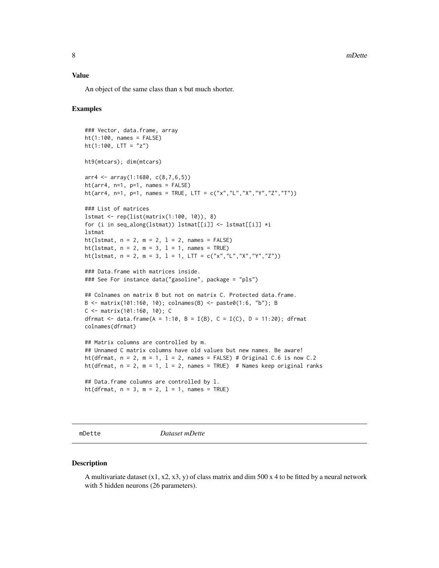<span id="page-7-0"></span>8 mDette

#### Value

An object of the same class than x but much shorter.

#### Examples

```
### Vector, data.frame, array
ht(1:100, names = FALSE)ht(1:100, LTT = "z")
ht9(mtcars); dim(mtcars)
arr4 \leftarrow array(1:1680, c(8,7,6,5))ht(arr4, n=1, p=1, names = FALSE)ht(arr4, n=1, p=1, names = TRUE, LTT = c("x","L","X","Y","Z","T"))
### List of matrices
lstmat <- rep(list(matrix(1:100, 10)), 8)
for (i in seq_along(lstmat)) lstmat[[i]] <- lstmat[[i]] *i
lstmat
ht(lstmat, n = 2, m = 2, l = 2, names = FALSE)
ht(lstmat, n = 2, m = 3, l = 1, names = TRUE)
ht(1stmat, n = 2, m = 3, 1 = 1, LTT = c("x", "L", "X", "Y", "Z"))### Data.frame with matrices inside.
### See For instance data("gasoline", package = "pls")
## Colnames on matrix B but not on matrix C. Protected data.frame.
B <- matrix(101:160, 10); colnames(B) <- paste0(1:6, "b"); B
C <- matrix(101:160, 10); Cdfrmat <- data.frame(A = 1:10, B = I(B), C = I(C), D = 11:20); dfrmat
colnames(dfrmat)
## Matrix columns are controlled by m.
## Unnamed C matrix columns have old values but new names. Be aware!
ht(dfrmat, n = 2, m = 1, l = 2, names = FALSE) # Original C.6 is now C.2
ht(dfrmat, n = 2, m = 1, l = 2, names = TRUE) # Names keep original ranks
## Data.frame columns are controlled by l.
ht(dfrmat, n = 3, m = 2, l = 1, names = TRUE)
```
mDette *Dataset mDette*

#### Description

A multivariate dataset  $(x1, x2, x3, y)$  of class matrix and dim 500 x 4 to be fitted by a neural network with 5 hidden neurons (26 parameters).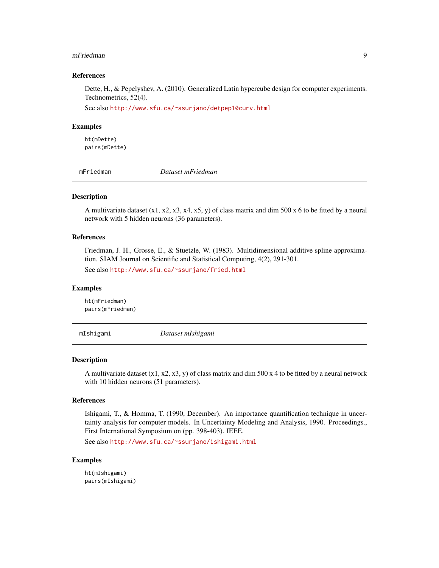#### <span id="page-8-0"></span>mFriedman 9

#### References

Dette, H., & Pepelyshev, A. (2010). Generalized Latin hypercube design for computer experiments. Technometrics, 52(4).

See also <http://www.sfu.ca/~ssurjano/detpep10curv.html>

#### Examples

ht(mDette) pairs(mDette)

mFriedman *Dataset mFriedman*

#### Description

A multivariate dataset  $(x1, x2, x3, x4, x5, y)$  of class matrix and dim 500 x 6 to be fitted by a neural network with 5 hidden neurons (36 parameters).

# References

Friedman, J. H., Grosse, E., & Stuetzle, W. (1983). Multidimensional additive spline approximation. SIAM Journal on Scientific and Statistical Computing, 4(2), 291-301.

See also <http://www.sfu.ca/~ssurjano/fried.html>

#### Examples

ht(mFriedman) pairs(mFriedman)

mIshigami *Dataset mIshigami*

#### Description

A multivariate dataset  $(x1, x2, x3, y)$  of class matrix and dim 500 x 4 to be fitted by a neural network with 10 hidden neurons (51 parameters).

#### References

Ishigami, T., & Homma, T. (1990, December). An importance quantification technique in uncertainty analysis for computer models. In Uncertainty Modeling and Analysis, 1990. Proceedings., First International Symposium on (pp. 398-403). IEEE.

See also <http://www.sfu.ca/~ssurjano/ishigami.html>

#### Examples

ht(mIshigami) pairs(mIshigami)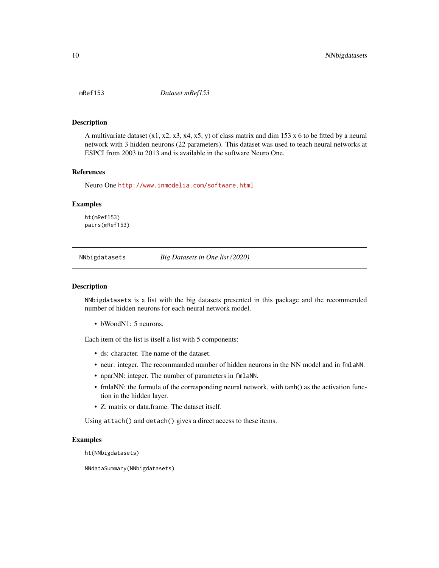<span id="page-9-0"></span>

A multivariate dataset  $(x1, x2, x3, x4, x5, y)$  of class matrix and dim 153 x 6 to be fitted by a neural network with 3 hidden neurons (22 parameters). This dataset was used to teach neural networks at ESPCI from 2003 to 2013 and is available in the software Neuro One.

#### References

Neuro One <http://www.inmodelia.com/software.html>

#### Examples

ht(mRef153) pairs(mRef153)

NNbigdatasets *Big Datasets in One list (2020)*

#### Description

NNbigdatasets is a list with the big datasets presented in this package and the recommended number of hidden neurons for each neural network model.

• bWoodN1: 5 neurons.

Each item of the list is itself a list with 5 components:

- ds: character. The name of the dataset.
- neur: integer. The recommanded number of hidden neurons in the NN model and in fmlaNN.
- nparNN: integer. The number of parameters in fmlaNN.
- fmlaNN: the formula of the corresponding neural network, with tanh() as the activation function in the hidden layer.
- Z: matrix or data.frame. The dataset itself.

Using attach() and detach() gives a direct access to these items.

#### Examples

```
ht(NNbigdatasets)
```
NNdataSummary(NNbigdatasets)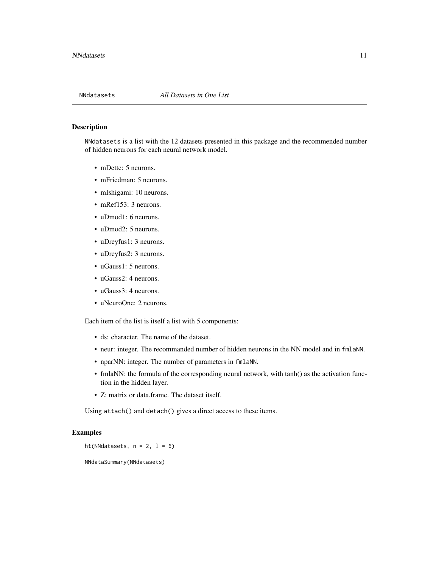<span id="page-10-0"></span>

NNdatasets is a list with the 12 datasets presented in this package and the recommended number of hidden neurons for each neural network model.

- mDette: 5 neurons.
- mFriedman: 5 neurons.
- mIshigami: 10 neurons.
- mRef153: 3 neurons.
- uDmod1: 6 neurons.
- uDmod2: 5 neurons.
- uDreyfus1: 3 neurons.
- uDreyfus2: 3 neurons.
- uGauss1: 5 neurons.
- uGauss2: 4 neurons.
- uGauss3: 4 neurons.
- uNeuroOne: 2 neurons.

Each item of the list is itself a list with 5 components:

- ds: character. The name of the dataset.
- neur: integer. The recommanded number of hidden neurons in the NN model and in fmlaNN.
- nparNN: integer. The number of parameters in fmlaNN.
- fmlaNN: the formula of the corresponding neural network, with tanh() as the activation function in the hidden layer.
- Z: matrix or data.frame. The dataset itself.

Using attach() and detach() gives a direct access to these items.

#### Examples

```
ht(NNdatasets, n = 2, 1 = 6)
```
NNdataSummary(NNdatasets)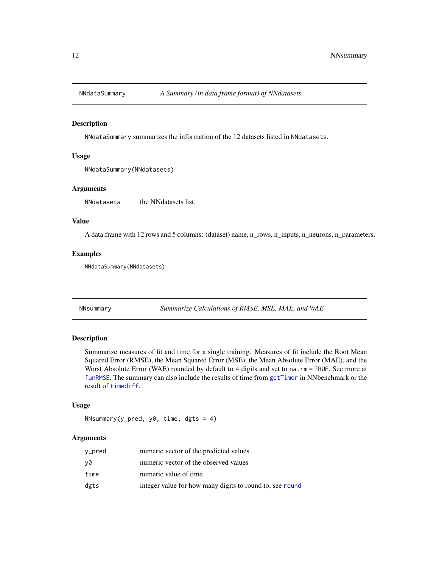<span id="page-11-1"></span><span id="page-11-0"></span>

NNdataSummary summarizes the information of the 12 datasets listed in NNdatasets.

#### Usage

```
NNdataSummary(NNdatasets)
```
# Arguments

NNdatasets the NNdatasets list.

# Value

A data.frame with 12 rows and 5 columns: (dataset) name, n\_rows, n\_inputs, n\_neurons, n\_parameters.

#### Examples

NNdataSummary(NNdatasets)

<span id="page-11-2"></span>NNsummary *Summarize Calculations of RMSE, MSE, MAE, and WAE*

# Description

Summarize measures of fit and time for a single training. Measures of fit include the Root Mean Squared Error (RMSE), the Mean Squared Error (MSE), the Mean Absolute Error (MAE), and the Worst Absolute Error (WAE) rounded by default to 4 digits and set to na. rm = TRUE. See more at [funRMSE](#page-5-1). The summary can also include the results of time from [getTimer](#page-4-1) in NNbenchmark or the result of [timediff](#page-22-1).

#### Usage

```
NNsummary(y_pred, y0, time, dgts = 4)
```
### Arguments

| y_pred | numeric vector of the predicted values                   |
|--------|----------------------------------------------------------|
| y0     | numeric vector of the observed values                    |
| time   | numeric value of time                                    |
| dgts   | integer value for how many digits to round to, see round |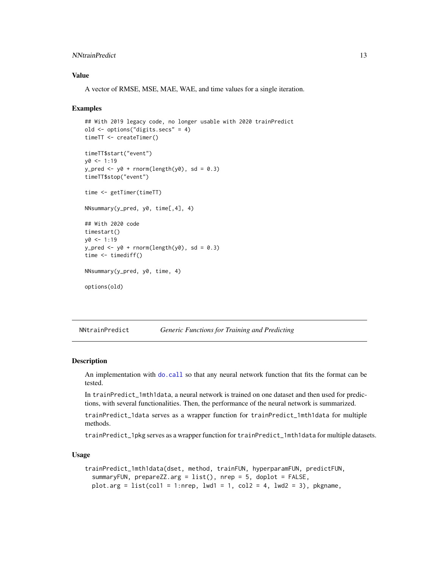# <span id="page-12-0"></span>NNtrainPredict 13

# Value

A vector of RMSE, MSE, MAE, WAE, and time values for a single iteration.

#### Examples

```
## With 2019 legacy code, no longer usable with 2020 trainPredict
old <- options("digits.secs" = 4)
timeTT <- createTimer()
timeTT$start("event")
y0 < -1:19y_pred <- y0 + rnorm(length(y0), sd = 0.3)
timeTT$stop("event")
time <- getTimer(timeTT)
NNsummary(y_pred, y0, time[,4], 4)
## With 2020 code
timestart()
y0 < -1:19y_pred <- y0 + rnorm(length(y0), sd = 0.3)
time <- timediff()
NNsummary(y_pred, y0, time, 4)
options(old)
```
NNtrainPredict *Generic Functions for Training and Predicting*

#### Description

An implementation with [do.call](#page-0-0) so that any neural network function that fits the format can be tested.

In trainPredict\_1mth1data, a neural network is trained on one dataset and then used for predictions, with several functionalities. Then, the performance of the neural network is summarized.

trainPredict\_1data serves as a wrapper function for trainPredict\_1mth1data for multiple methods.

trainPredict\_1pkg serves as a wrapper function for trainPredict\_1mth1data for multiple datasets.

#### Usage

```
trainPredict_1mth1data(dset, method, trainFUN, hyperparamFUN, predictFUN,
  summaryFUN, prepareZZ.arg = list(), nrep = 5, doplot = FALSE,
 plot.arg = list(col1 = 1:nrep, lwd1 = 1, col2 = 4, lwd2 = 3), pkgname,
```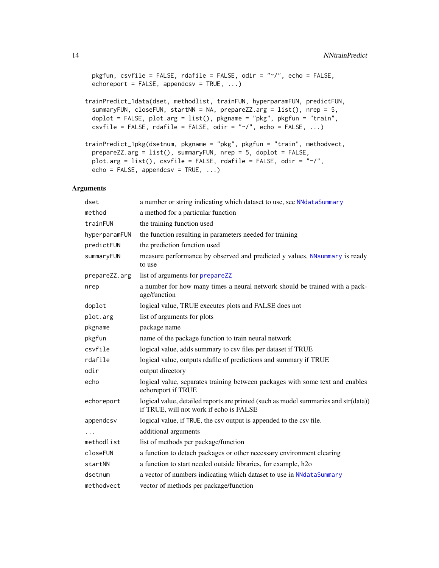```
pkgfun, csvfile = FALSE, rdafile = FALSE, odir = "*/", echo = FALSE,
echoreport = FALSE, appendcsv = TRUE, \dots)
```

```
trainPredict_1data(dset, methodlist, trainFUN, hyperparamFUN, predictFUN,
  summaryFUN, closeFUN, startNN = NA, prepareZZ.arg = list(), nrep = 5,
 doplot = FALSE, plot.arg = list(), pkgname = "pkg", pkgfun = "train",
 csvfile = FALSE, rdafile = FALSE, odir = "*/", echo = FALSE, ...)
```

```
trainPredict_1pkg(dsetnum, pkgname = "pkg", pkgfun = "train", methodvect,
 prepareZZ.arg = list(), summaryFUN, nrep = 5, doplot = FALSE,
 plot.arg = list(), csvfile = FALSE, rdafile = FALSE, odir = "~/",
 echo = FALSE, appendcsv = TRUE, ...)
```
# Arguments

| dset          | a number or string indicating which dataset to use, see NNdataSummary                                                          |
|---------------|--------------------------------------------------------------------------------------------------------------------------------|
| method        | a method for a particular function                                                                                             |
| trainFUN      | the training function used                                                                                                     |
| hyperparamFUN | the function resulting in parameters needed for training                                                                       |
| predictFUN    | the prediction function used                                                                                                   |
| summaryFUN    | measure performance by observed and predicted y values, NNsummary is ready<br>to use                                           |
| prepareZZ.arg | list of arguments for prepareZZ                                                                                                |
| nrep          | a number for how many times a neural network should be trained with a pack-<br>age/function                                    |
| doplot        | logical value, TRUE executes plots and FALSE does not                                                                          |
| plot.arg      | list of arguments for plots                                                                                                    |
| pkgname       | package name                                                                                                                   |
| pkgfun        | name of the package function to train neural network                                                                           |
| csvfile       | logical value, adds summary to csv files per dataset if TRUE                                                                   |
| rdafile       | logical value, outputs rdafile of predictions and summary if TRUE                                                              |
| odir          | output directory                                                                                                               |
| echo          | logical value, separates training between packages with some text and enables<br>echoreport if TRUE                            |
| echoreport    | logical value, detailed reports are printed (such as model summaries and str(data))<br>if TRUE, will not work if echo is FALSE |
| appendcsv     | logical value, if TRUE, the csv output is appended to the csv file.                                                            |
| .             | additional arguments                                                                                                           |
| methodlist    | list of methods per package/function                                                                                           |
| closeFUN      | a function to detach packages or other necessary environment clearing                                                          |
| startNN       | a function to start needed outside libraries, for example, h2o                                                                 |
| dsetnum       | a vector of numbers indicating which dataset to use in NNdataSummary                                                           |
| methodvect    | vector of methods per package/function                                                                                         |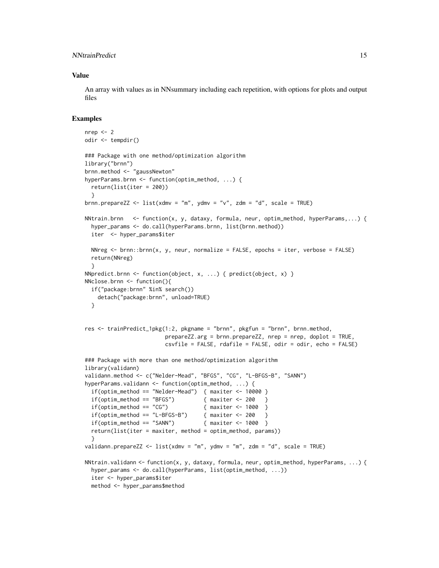# NNtrainPredict 15

#### Value

An array with values as in NNsummary including each repetition, with options for plots and output files

#### Examples

```
nrep < -2odir <- tempdir()
### Package with one method/optimization algorithm
library("brnn")
brnn.method <- "gaussNewton"
hyperParams.brnn <- function(optim_method, ...) {
 return(list(iter = 200))
 }
brnn.prepareZZ <- list(xdmv = "m", ydmv = "v", zdm = "d", scale = TRUE)
NNtrain.brnn <- function(x, y, dataxy, formula, neur, optim_method, hyperParams,...) {
 hyper_params <- do.call(hyperParams.brnn, list(brnn.method))
 iter <- hyper_params$iter
 NNreg \le brnn::brnn(x, y, neur, normalize = FALSE, epochs = iter, verbose = FALSE)
 return(NNreg)
 }
NNpredict.brnn <- function(object, x, ...) { predict(object, x) }
NNclose.brnn <- function(){
 if("package:brnn" %in% search())
   detach("package:brnn", unload=TRUE)
 }
res <- trainPredict_1pkg(1:2, pkgname = "brnn", pkgfun = "brnn", brnn.method,
                        prepareZZ.arg = brnn.prepareZZ, nrep = nrep, doplot = TRUE,
                        csvfile = FALSE, rdafile = FALSE, odir = odir, echo = FALSE)
### Package with more than one method/optimization algorithm
library(validann)
validann.method <- c("Nelder-Mead", "BFGS", "CG", "L-BFGS-B", "SANN")
hyperParams.validann <- function(optim_method, ...) {
 if(optim_method == "Nelder-Mead") { maxiter \leq 10000 }
 if(optim_method == "BFGS") \{ maxiter <- 200 \}if(optim\_method == "CG") { maxiter <- 1000 }
 if(optim_method == "L-BFGS-B") \{ maxiter <- 200 \}if(optim\_method == "SANN") { maxiter <- 1000 }
 return(list(iter = maxiter, method = optim_method, params))
  }
validann.prepareZZ <- list(xdmv = "m", ydmv = "m", zdm = "d", scale = TRUE)
NNtrain.validann <- function(x, y, dataxy, formula, neur, optim_method, hyperParams, ...) {
 hyper_params <- do.call(hyperParams, list(optim_method, ...))
 iter <- hyper_params$iter
 method <- hyper_params$method
```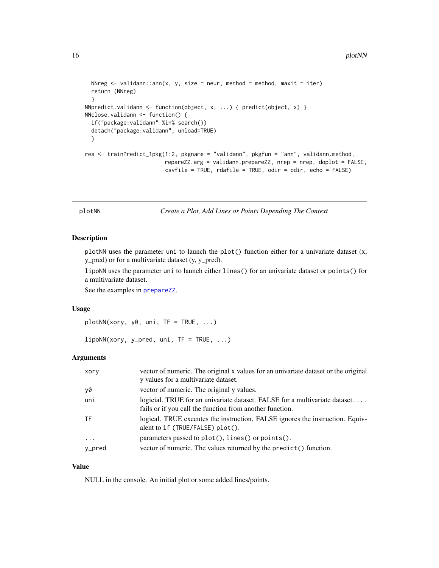```
NNreg \le validann:: ann(x, y, size = neur, method = method, maxit = iter)
 return (NNreg)
 }
NNpredict.validann <- function(object, x, ...) { predict(object, x) }
NNclose.validann <- function() {
 if("package:validann" %in% search())
 detach("package:validann", unload=TRUE)
 }
res <- trainPredict_1pkg(1:2, pkgname = "validann", pkgfun = "ann", validann.method,
                         repareZZ.arg = validann.prepareZZ, nrep = nrep, doplot = FALSE,
                         csvfile = TRUE, rdafile = TRUE, odir = odir, echo = FALSE)
```
plotNN *Create a Plot, Add Lines or Points Depending The Context*

#### **Description**

plotNN uses the parameter uni to launch the plot() function either for a univariate dataset  $(x,$ y\_pred) or for a multivariate dataset (y, y\_pred).

lipoNN uses the parameter uni to launch either lines() for an univariate dataset or points() for a multivariate dataset.

See the examples in [prepareZZ](#page-16-1).

#### Usage

plotNN(xory, y0, uni, TF = TRUE, ...)

 $lipoNN(xory, y_pred, uni, TF = TRUE, ...)$ 

#### Arguments

| xory       | vector of numeric. The original x values for an univariate dataset or the original<br>y values for a multivariate dataset.              |
|------------|-----------------------------------------------------------------------------------------------------------------------------------------|
| y0         | vector of numeric. The original y values.                                                                                               |
| uni        | logicial. TRUE for an univariate dataset. FALSE for a multivariate dataset.<br>fails or if you call the function from another function. |
| TF         | logical. TRUE executes the instruction. FALSE ignores the instruction. Equiv-<br>alent to if (TRUE/FALSE) plot().                       |
| $\ddots$ . | parameters passed to plot(), lines() or points().                                                                                       |
| y_pred     | vector of numeric. The values returned by the predict () function.                                                                      |

# Value

NULL in the console. An initial plot or some added lines/points.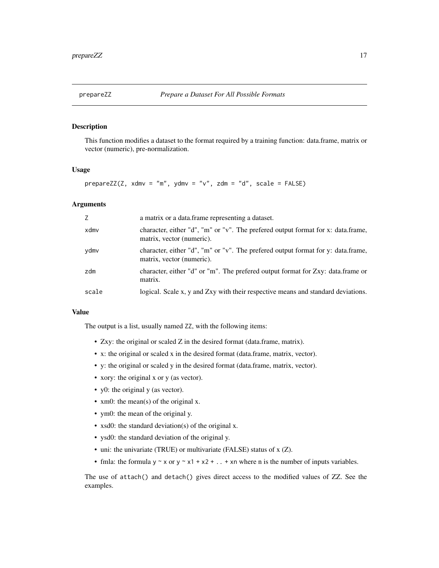<span id="page-16-1"></span><span id="page-16-0"></span>This function modifies a dataset to the format required by a training function: data.frame, matrix or vector (numeric), pre-normalization.

#### Usage

```
prepareZZ(Z, xdmv = "m", ydmv = "v", zdm = "d", scale = FALSE)
```
# Arguments

| Z     | a matrix or a data. frame representing a dataset.                                                             |
|-------|---------------------------------------------------------------------------------------------------------------|
| xdmv  | character, either "d", "m" or "v". The prefered output format for x: data.frame,<br>matrix, vector (numeric). |
| ydmv  | character, either "d", "m" or "v". The prefered output format for y: data.frame,<br>matrix, vector (numeric). |
| zdm   | character, either "d" or "m". The prefered output format for Zxy: data.frame or<br>matrix.                    |
| scale | logical. Scale x, y and Zxy with their respective means and standard deviations.                              |

#### Value

The output is a list, usually named ZZ, with the following items:

- Zxy: the original or scaled Z in the desired format (data.frame, matrix).
- x: the original or scaled x in the desired format (data.frame, matrix, vector).
- y: the original or scaled y in the desired format (data.frame, matrix, vector).
- xory: the original x or y (as vector).
- y0: the original y (as vector).
- xm0: the mean(s) of the original x.
- ym0: the mean of the original y.
- xsd0: the standard deviation(s) of the original x.
- ysd0: the standard deviation of the original y.
- uni: the univariate (TRUE) or multivariate (FALSE) status of x (Z).
- fmla: the formula  $y \sim x$  or  $y \sim x1 + x2 + ... + xn$  where n is the number of inputs variables.

The use of attach() and detach() gives direct access to the modified values of ZZ. See the examples.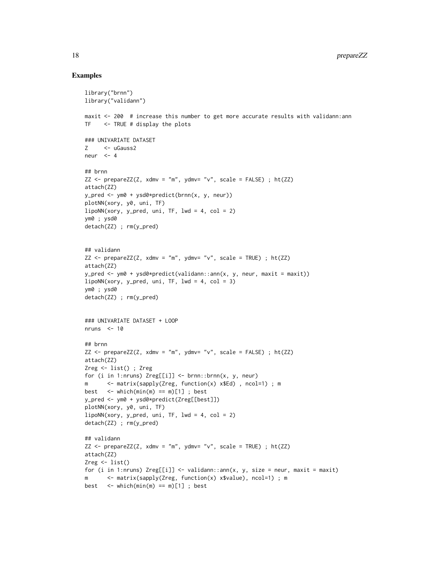### Examples

```
library("brnn")
library("validann")
maxit <- 200 # increase this number to get more accurate results with validann:ann
TF <- TRUE # display the plots
### UNIVARIATE DATASET
Z <- uGauss2
neur <-4## brnn
ZZ \leq - prepareZZ(Z, xdmv = "m", ydmv= "v", scale = FALSE) ; ht(ZZ)
attach(ZZ)
y_pred <- ym0 + ysd0*predict(brnn(x, y, neur))
plotNN(xory, y0, uni, TF)
lipoNN(xory, y_pred, uni, TF, lwd = 4, col = 2)ym0 ; ysd0
detach(ZZ) ; rm(y_pred)
## validann
ZZ \le - prepareZZ(Z, xdmv = "m", ydmv = "v", scale = TRUE); ht(ZZ)
attach(ZZ)
y_pred <- ym0 + ysd0*predict(validann::ann(x, y, neur, maxit = maxit))
lipoNN(xory, y_pred, uni, TF, lwd = 4, col = 3)ym0 ; ysd0
detach(ZZ) ; rm(y_pred)
### UNIVARIATE DATASET + LOOP
nruns <-10## brnn
ZZ \leq - prepareZZ(Z, xdmv = "m", ydmv= "v", scale = FALSE) ; ht(ZZ)
attach(ZZ)
Zreg <- list() ; Zreg
for (i in 1:nruns) Zreg[[i]] \leftarrow brnn::brnn(x, y, neur)m <- matrix(sapply(Zreg, function(x) x$Ed) , ncol=1) ; m
best \le which(min(m) == m)[1] ; best
y_pred <- ym0 + ysd0*predict(Zreg[[best]])
plotNN(xory, y0, uni, TF)
lipoNN(xory, y_pred, uni, TF, lwd = 4, col = 2)detach(ZZ) ; rm(y_pred)
## validann
ZZ \leq - prepareZZ(Z, xdmv = "m", ydmv= "v", scale = TRUE) ; ht(ZZ)
attach(ZZ)
Zreg \leftarrow list()
for (i in 1:nruns) Zreg[[i]] \le - \text{validation}:ann(x, y, size = neur, maxit = maxit)m <- matrix(sapply(Zreg, function(x) x$value), ncol=1) ; m
best \le which(min(m) == m)[1] ; best
```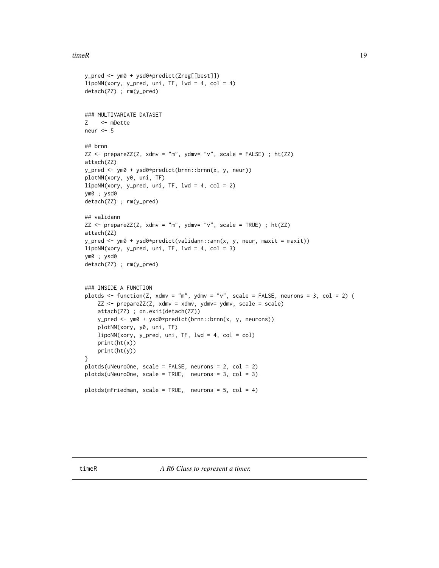#### <span id="page-18-0"></span> $timeR$  19

```
y_pred <- ym0 + ysd0*predict(Zreg[[best]])
lipoNN(xory, y_pred, uni, TF, lwd = 4, col = 4)detach(ZZ) ; rm(y_pred)
### MULTIVARIATE DATASET
Z <- mDette
neur <-5## brnn
ZZ \le - prepareZZ(Z, xdmv = "m", ydmv= "v", scale = FALSE) ; ht(ZZ)
attach(ZZ)
y_pred <- ym0 + ysd0*predict(brnn::brnn(x, y, neur))
plotNN(xory, y0, uni, TF)
lipoNN(xory, y_pred, uni, TF, lwd = 4, col = 2)ym0 ; ysd0
detach(ZZ) ; rm(y_pred)
## validann
ZZ \leq - prepareZZ(Z, xdmv = "m", ydmv= "v", scale = TRUE) ; ht(ZZ)
attach(ZZ)
y_pred <- ym0 + ysd0*predict(validann::ann(x, y, neur, maxit = maxit))
lipoNN(xory, y_pred, uni, TF, lwd = 4, col = 3)ym0 ; ysd0
detach(ZZ) ; rm(y_pred)
### INSIDE A FUNCTION
plotds \le function(Z, xdmv = "m", ydmv = "v", scale = FALSE, neurons = 3, col = 2) {
   ZZ <- prepareZZ(Z, xdmv = xdmv, ydmv= ydmv, scale = scale)
   attach(ZZ) ; on.exit(detach(ZZ))
   y_pred <- ym0 + ysd0*predict(brnn::brnn(x, y, neurons))
   plotNN(xory, y0, uni, TF)
   lipoNN(xory, y_pred, uni, TF, lwd = 4, col = col)
   print(ht(x))
   print(ht(y))
}
plotds(uNeuroOne, scale = FALSE, neurons = 2, col = 2)
plots(uNeuroOne, scale = TRUE, neurons = 3, col = 3)
plots(mFriedman, scale = TRUE, neurons = 5, col = 4)
```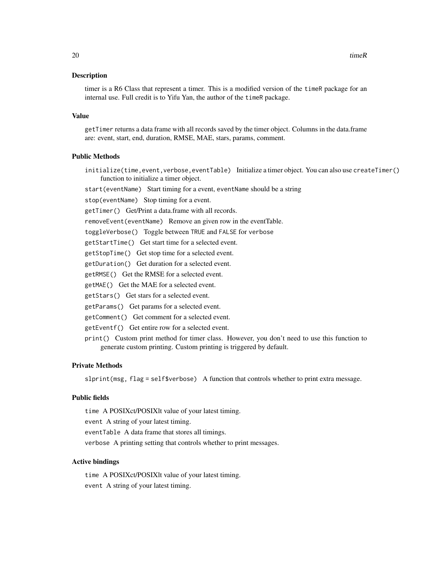timer is a R6 Class that represent a timer. This is a modified version of the timeR package for an internal use. Full credit is to Yifu Yan, the author of the timeR package.

#### Value

getTimer returns a data frame with all records saved by the timer object. Columns in the data.frame are: event, start, end, duration, RMSE, MAE, stars, params, comment.

#### Public Methods

initialize(time,event,verbose,eventTable) Initialize a timer object. You can also use createTimer() function to initialize a timer object.

start(eventName) Start timing for a event, eventName should be a string

stop(eventName) Stop timing for a event.

getTimer() Get/Print a data.frame with all records.

removeEvent(eventName) Remove an given row in the eventTable.

toggleVerbose() Toggle between TRUE and FALSE for verbose

getStartTime() Get start time for a selected event.

getStopTime() Get stop time for a selected event.

getDuration() Get duration for a selected event.

getRMSE() Get the RMSE for a selected event.

getMAE() Get the MAE for a selected event.

getStars() Get stars for a selected event.

getParams() Get params for a selected event.

getComment() Get comment for a selected event.

getEventf() Get entire row for a selected event.

print() Custom print method for timer class. However, you don't need to use this function to generate custom printing. Custom printing is triggered by default.

#### Private Methods

slprint(msg, flag = self\$verbose) A function that controls whether to print extra message.

#### Public fields

time A POSIXct/POSIXlt value of your latest timing.

event A string of your latest timing.

eventTable A data frame that stores all timings.

verbose A printing setting that controls whether to print messages.

#### Active bindings

time A POSIXct/POSIXlt value of your latest timing. event A string of your latest timing.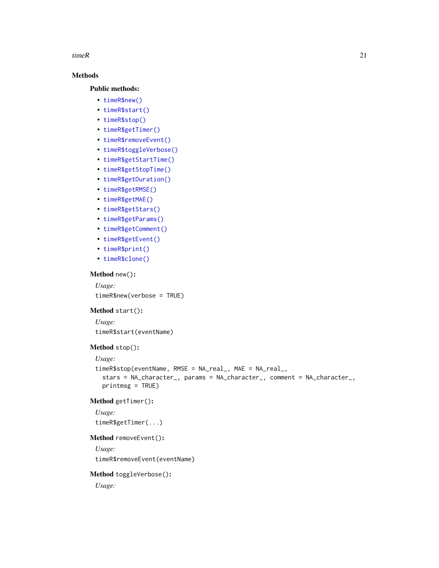#### $timeR$  21

# Methods

#### Public methods:

- [timeR\\$new\(\)](#page-20-0)
- [timeR\\$start\(\)](#page-20-1)
- [timeR\\$stop\(\)](#page-20-2)
- [timeR\\$getTimer\(\)](#page-20-3)
- [timeR\\$removeEvent\(\)](#page-20-4)
- [timeR\\$toggleVerbose\(\)](#page-20-5)
- [timeR\\$getStartTime\(\)](#page-21-0)
- [timeR\\$getStopTime\(\)](#page-21-1)
- [timeR\\$getDuration\(\)](#page-21-2)
- [timeR\\$getRMSE\(\)](#page-21-3)
- [timeR\\$getMAE\(\)](#page-21-4)
- [timeR\\$getStars\(\)](#page-21-5)
- [timeR\\$getParams\(\)](#page-21-6)
- [timeR\\$getComment\(\)](#page-21-7)
- [timeR\\$getEvent\(\)](#page-21-8)
- [timeR\\$print\(\)](#page-21-9)
- [timeR\\$clone\(\)](#page-21-10)

#### <span id="page-20-0"></span>Method new():

*Usage:*

timeR\$new(verbose = TRUE)

# <span id="page-20-1"></span>Method start():

*Usage:*

timeR\$start(eventName)

# <span id="page-20-2"></span>Method stop():

*Usage:*

```
timeR$stop(eventName, RMSE = NA_real_, MAE = NA_real_,
  stars = NA_character_, params = NA_character_, comment = NA_character_,
 printmsg = TRUE)
```
#### <span id="page-20-3"></span>Method getTimer():

*Usage:* timeR\$getTimer(...)

# <span id="page-20-4"></span>Method removeEvent():

*Usage:*

timeR\$removeEvent(eventName)

# <span id="page-20-5"></span>Method toggleVerbose():

*Usage:*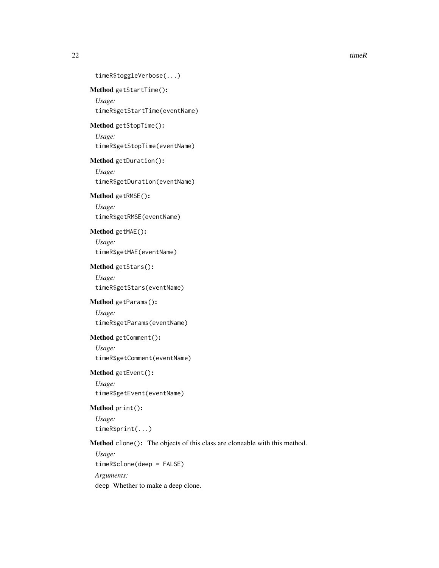timeR\$toggleVerbose(...)

<span id="page-21-0"></span>Method getStartTime():

*Usage:* timeR\$getStartTime(eventName)

<span id="page-21-1"></span>Method getStopTime():

*Usage:* timeR\$getStopTime(eventName)

<span id="page-21-2"></span>Method getDuration(): *Usage:* timeR\$getDuration(eventName)

<span id="page-21-3"></span>Method getRMSE():

*Usage:*

timeR\$getRMSE(eventName)

<span id="page-21-4"></span>Method getMAE():

*Usage:* timeR\$getMAE(eventName)

<span id="page-21-5"></span>Method getStars():

*Usage:*

timeR\$getStars(eventName)

# <span id="page-21-6"></span>Method getParams():

*Usage:*

timeR\$getParams(eventName)

# <span id="page-21-7"></span>Method getComment():

*Usage:*

timeR\$getComment(eventName)

# <span id="page-21-8"></span>Method getEvent():

*Usage:* timeR\$getEvent(eventName)

# <span id="page-21-9"></span>Method print():

*Usage:* timeR\$print(...)

<span id="page-21-10"></span>Method clone(): The objects of this class are cloneable with this method.

*Usage:* timeR\$clone(deep = FALSE) *Arguments:* deep Whether to make a deep clone.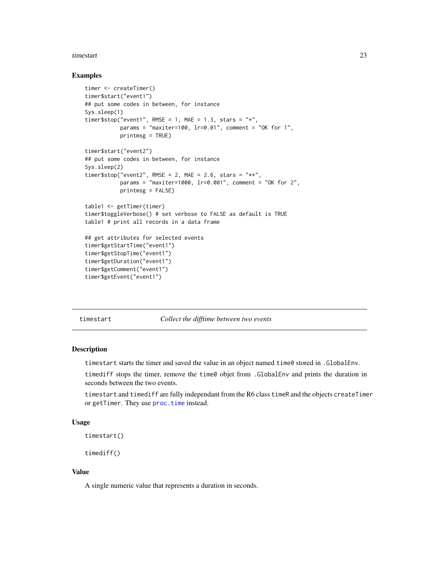#### <span id="page-22-0"></span>timestart 23

#### Examples

```
timer <- createTimer()
timer$start("event1")
## put some codes in between, for instance
Sys.sleep(1)
timer$stop("event1", RMSE = 1, MAE = 1.3, stars = "*",
           params = "maxiter=100, 1r=0.01", comment = "OK for 1",
           printmsg = TRUE)
timer$start("event2")
## put some codes in between, for instance
Sys.sleep(2)
timer$stop("event2", RMSE = 2, MAE = 2.6, stars = "**",
           params = "maxiter=1000, lr=0.001", comment = "OK for 2",
           printmsg = FALSE)
table1 <- getTimer(timer)
timer$toggleVerbose() # set verbose to FALSE as default is TRUE
table1 # print all records in a data frame
## get attributes for selected events
timer$getStartTime("event1")
timer$getStopTime("event1")
timer$getDuration("event1")
timer$getComment("event1")
timer$getEvent("event1")
```
timestart *Collect the difftime between two events*

#### <span id="page-22-1"></span>**Description**

timestart starts the timer and saved the value in an object named time0 stored in .GlobalEnv.

timediff stops the timer, remove the time0 objet from .GlobalEnv and prints the duration in seconds between the two events.

timestart and timediff are fully independant from the R6 class timeR and the objects createTimer or getTimer. They use [proc.time](#page-0-0) instead.

#### Usage

timestart()

timediff()

#### Value

A single numeric value that represents a duration in seconds.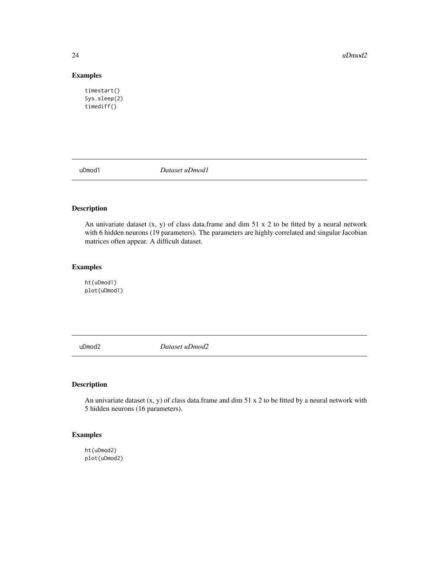24 uDmod2

# Examples

```
timestart()
Sys.sleep(2)
timediff()
```
uDmod1 *Dataset uDmod1*

# Description

An univariate dataset  $(x, y)$  of class data.frame and dim 51 x 2 to be fitted by a neural network with 6 hidden neurons (19 parameters). The parameters are highly correlated and singular Jacobian matrices often appear. A difficult dataset.

#### Examples

ht(uDmod1) plot(uDmod1)

uDmod2 *Dataset uDmod2*

# Description

An univariate dataset  $(x, y)$  of class data.frame and dim 51 x 2 to be fitted by a neural network with 5 hidden neurons (16 parameters).

# Examples

ht(uDmod2) plot(uDmod2)

<span id="page-23-0"></span>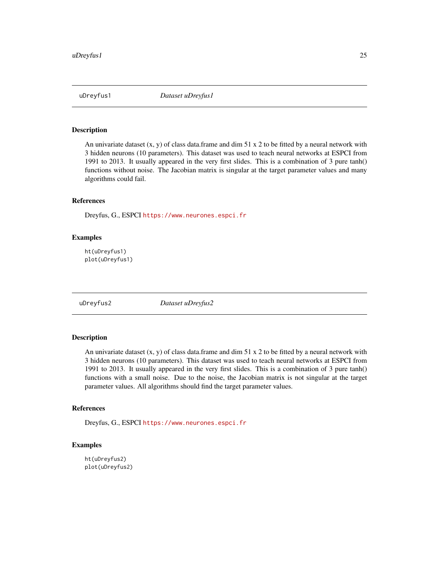<span id="page-24-0"></span>uDreyfus1 *Dataset uDreyfus1*

# Description

An univariate dataset  $(x, y)$  of class data.frame and dim 51 x 2 to be fitted by a neural network with 3 hidden neurons (10 parameters). This dataset was used to teach neural networks at ESPCI from 1991 to 2013. It usually appeared in the very first slides. This is a combination of 3 pure tanh() functions without noise. The Jacobian matrix is singular at the target parameter values and many algorithms could fail.

# References

Dreyfus, G., ESPCI <https://www.neurones.espci.fr>

#### Examples

ht(uDreyfus1) plot(uDreyfus1)

uDreyfus2 *Dataset uDreyfus2*

# Description

An univariate dataset  $(x, y)$  of class data.frame and dim 51 x 2 to be fitted by a neural network with 3 hidden neurons (10 parameters). This dataset was used to teach neural networks at ESPCI from 1991 to 2013. It usually appeared in the very first slides. This is a combination of 3 pure tanh() functions with a small noise. Due to the noise, the Jacobian matrix is not singular at the target parameter values. All algorithms should find the target parameter values.

#### References

Dreyfus, G., ESPCI <https://www.neurones.espci.fr>

# Examples

ht(uDreyfus2) plot(uDreyfus2)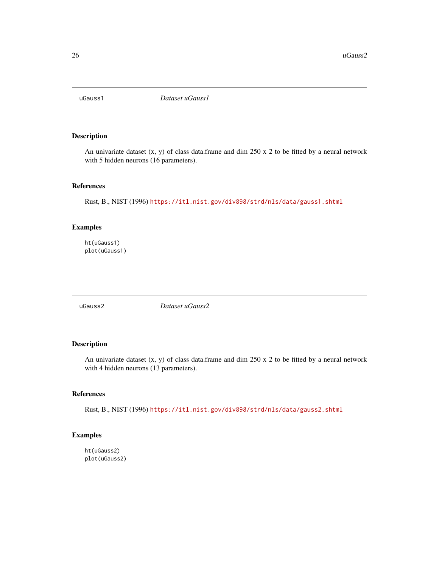<span id="page-25-0"></span>

An univariate dataset (x, y) of class data.frame and dim 250 x 2 to be fitted by a neural network with 5 hidden neurons (16 parameters).

#### References

Rust, B., NIST (1996) <https://itl.nist.gov/div898/strd/nls/data/gauss1.shtml>

#### Examples

ht(uGauss1) plot(uGauss1)

uGauss2 *Dataset uGauss2*

# Description

An univariate dataset (x, y) of class data.frame and dim 250 x 2 to be fitted by a neural network with 4 hidden neurons (13 parameters).

### References

Rust, B., NIST (1996) <https://itl.nist.gov/div898/strd/nls/data/gauss2.shtml>

# Examples

ht(uGauss2) plot(uGauss2)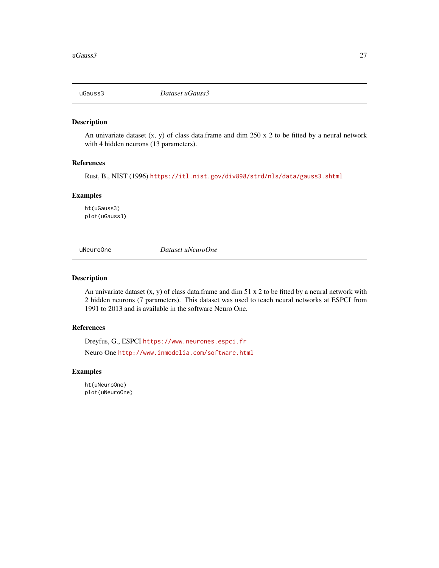<span id="page-26-0"></span>

An univariate dataset  $(x, y)$  of class data.frame and dim 250 x 2 to be fitted by a neural network with 4 hidden neurons (13 parameters).

#### References

Rust, B., NIST (1996) <https://itl.nist.gov/div898/strd/nls/data/gauss3.shtml>

#### Examples

ht(uGauss3) plot(uGauss3)

uNeuroOne *Dataset uNeuroOne*

# Description

An univariate dataset  $(x, y)$  of class data.frame and dim 51 x 2 to be fitted by a neural network with 2 hidden neurons (7 parameters). This dataset was used to teach neural networks at ESPCI from 1991 to 2013 and is available in the software Neuro One.

# References

Dreyfus, G., ESPCI <https://www.neurones.espci.fr> Neuro One <http://www.inmodelia.com/software.html>

# Examples

ht(uNeuroOne) plot(uNeuroOne)